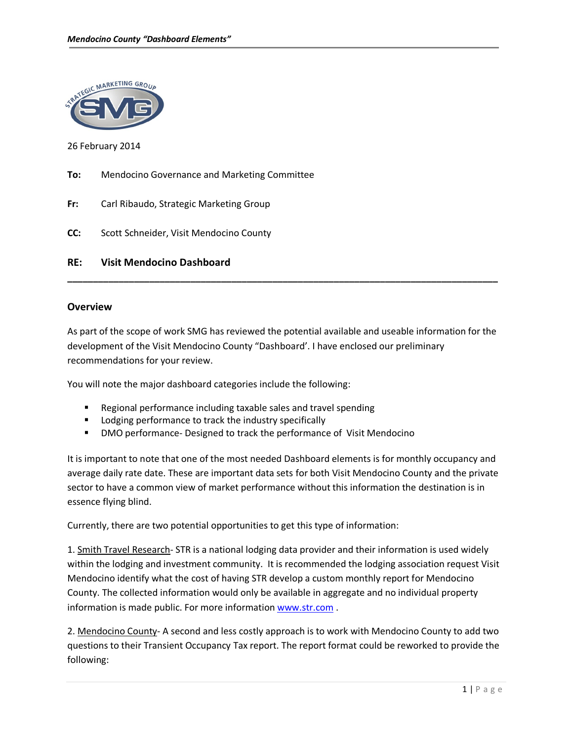

26 February 2014

- **To:** Mendocino Governance and Marketing Committee
- **Fr:** Carl Ribaudo, Strategic Marketing Group
- **CC:** Scott Schneider, Visit Mendocino County

## **RE: Visit Mendocino Dashboard**

## **Overview**

As part of the scope of work SMG has reviewed the potential available and useable information for the development of the Visit Mendocino County "Dashboard'. I have enclosed our preliminary recommendations for your review.

**\_\_\_\_\_\_\_\_\_\_\_\_\_\_\_\_\_\_\_\_\_\_\_\_\_\_\_\_\_\_\_\_\_\_\_\_\_\_\_\_\_\_\_\_\_\_\_\_\_\_\_\_\_\_\_\_\_\_\_\_\_\_\_\_\_\_\_\_\_\_\_\_\_\_\_\_\_\_\_\_\_\_\_\_**

You will note the major dashboard categories include the following:

- ß Regional performance including taxable sales and travel spending
- Lodging performance to track the industry specifically
- **DMO performance- Designed to track the performance of Visit Mendocino**

It is important to note that one of the most needed Dashboard elements is for monthly occupancy and average daily rate date. These are important data sets for both Visit Mendocino County and the private sector to have a common view of market performance without this information the destination is in essence flying blind.

Currently, there are two potential opportunities to get this type of information:

1. Smith Travel Research- STR is a national lodging data provider and their information is used widely within the lodging and investment community. It is recommended the lodging association request Visit Mendocino identify what the cost of having STR develop a custom monthly report for Mendocino County. The collected information would only be available in aggregate and no individual property information is made public. For more information www.str.com .

2. Mendocino County- A second and less costly approach is to work with Mendocino County to add two questions to their Transient Occupancy Tax report. The report format could be reworked to provide the following: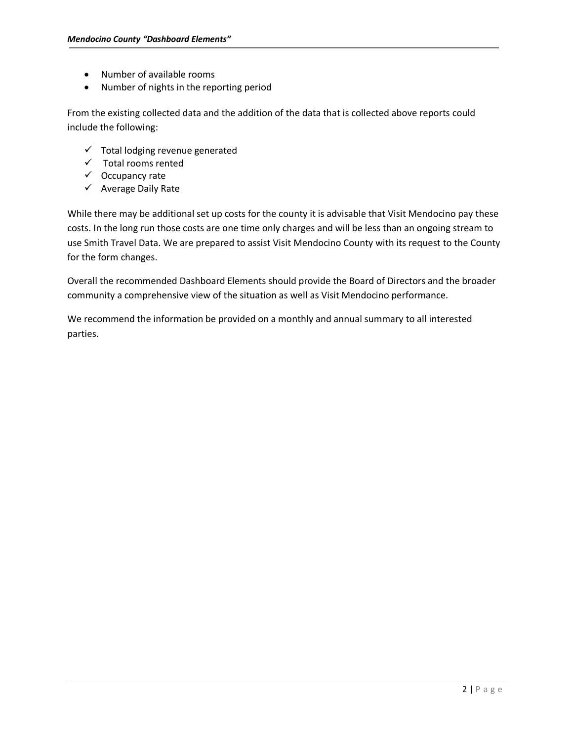- · Number of available rooms
- · Number of nights in the reporting period

From the existing collected data and the addition of the data that is collected above reports could include the following:

- $\checkmark$  Total lodging revenue generated
- $\checkmark$  Total rooms rented
- $\checkmark$  Occupancy rate
- $\checkmark$  Average Daily Rate

While there may be additional set up costs for the county it is advisable that Visit Mendocino pay these costs. In the long run those costs are one time only charges and will be less than an ongoing stream to use Smith Travel Data. We are prepared to assist Visit Mendocino County with its request to the County for the form changes.

Overall the recommended Dashboard Elements should provide the Board of Directors and the broader community a comprehensive view of the situation as well as Visit Mendocino performance.

We recommend the information be provided on a monthly and annual summary to all interested parties.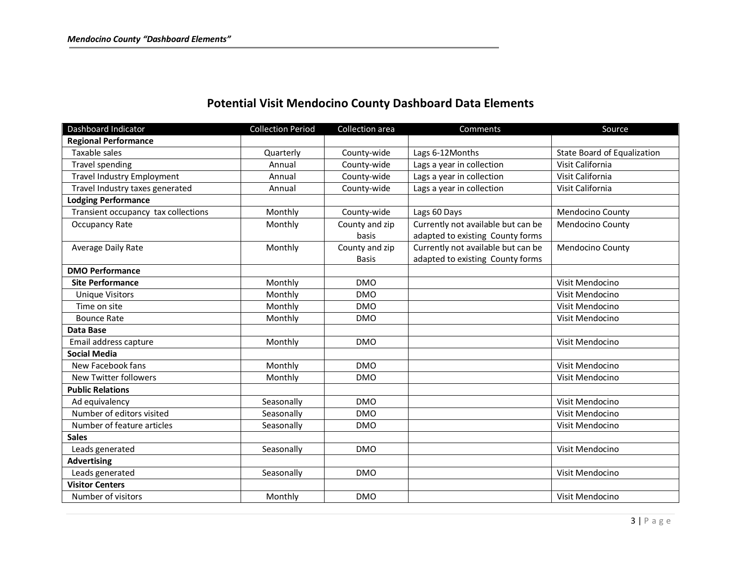## **Potential Visit Mendocino County Dashboard Data Elements**

| Dashboard Indicator                 | <b>Collection Period</b> | Collection area | Comments                           | Source                      |
|-------------------------------------|--------------------------|-----------------|------------------------------------|-----------------------------|
| <b>Regional Performance</b>         |                          |                 |                                    |                             |
| Taxable sales                       | Quarterly                | County-wide     | Lags 6-12Months                    | State Board of Equalization |
| <b>Travel spending</b>              | Annual                   | County-wide     | Lags a year in collection          | Visit California            |
| <b>Travel Industry Employment</b>   | Annual                   | County-wide     | Lags a year in collection          | Visit California            |
| Travel Industry taxes generated     | Annual                   | County-wide     | Lags a year in collection          | Visit California            |
| <b>Lodging Performance</b>          |                          |                 |                                    |                             |
| Transient occupancy tax collections | Monthly                  | County-wide     | Lags 60 Days                       | Mendocino County            |
| <b>Occupancy Rate</b>               | Monthly                  | County and zip  | Currently not available but can be | Mendocino County            |
|                                     |                          | basis           | adapted to existing County forms   |                             |
| Average Daily Rate                  | Monthly                  | County and zip  | Currently not available but can be | Mendocino County            |
|                                     |                          | <b>Basis</b>    | adapted to existing County forms   |                             |
| <b>DMO Performance</b>              |                          |                 |                                    |                             |
| <b>Site Performance</b>             | Monthly                  | <b>DMO</b>      |                                    | Visit Mendocino             |
| <b>Unique Visitors</b>              | Monthly                  | <b>DMO</b>      |                                    | Visit Mendocino             |
| Time on site                        | Monthly                  | <b>DMO</b>      |                                    | Visit Mendocino             |
| <b>Bounce Rate</b>                  | Monthly                  | <b>DMO</b>      |                                    | Visit Mendocino             |
| Data Base                           |                          |                 |                                    |                             |
| Email address capture               | Monthly                  | <b>DMO</b>      |                                    | Visit Mendocino             |
| <b>Social Media</b>                 |                          |                 |                                    |                             |
| New Facebook fans                   | Monthly                  | <b>DMO</b>      |                                    | Visit Mendocino             |
| New Twitter followers               | Monthly                  | <b>DMO</b>      |                                    | Visit Mendocino             |
| <b>Public Relations</b>             |                          |                 |                                    |                             |
| Ad equivalency                      | Seasonally               | <b>DMO</b>      |                                    | Visit Mendocino             |
| Number of editors visited           | Seasonally               | <b>DMO</b>      |                                    | Visit Mendocino             |
| Number of feature articles          | Seasonally               | <b>DMO</b>      |                                    | Visit Mendocino             |
| <b>Sales</b>                        |                          |                 |                                    |                             |
| Leads generated                     | Seasonally               | <b>DMO</b>      |                                    | Visit Mendocino             |
| <b>Advertising</b>                  |                          |                 |                                    |                             |
| Leads generated                     | Seasonally               | <b>DMO</b>      |                                    | Visit Mendocino             |
| <b>Visitor Centers</b>              |                          |                 |                                    |                             |
| Number of visitors                  | Monthly                  | <b>DMO</b>      |                                    | Visit Mendocino             |